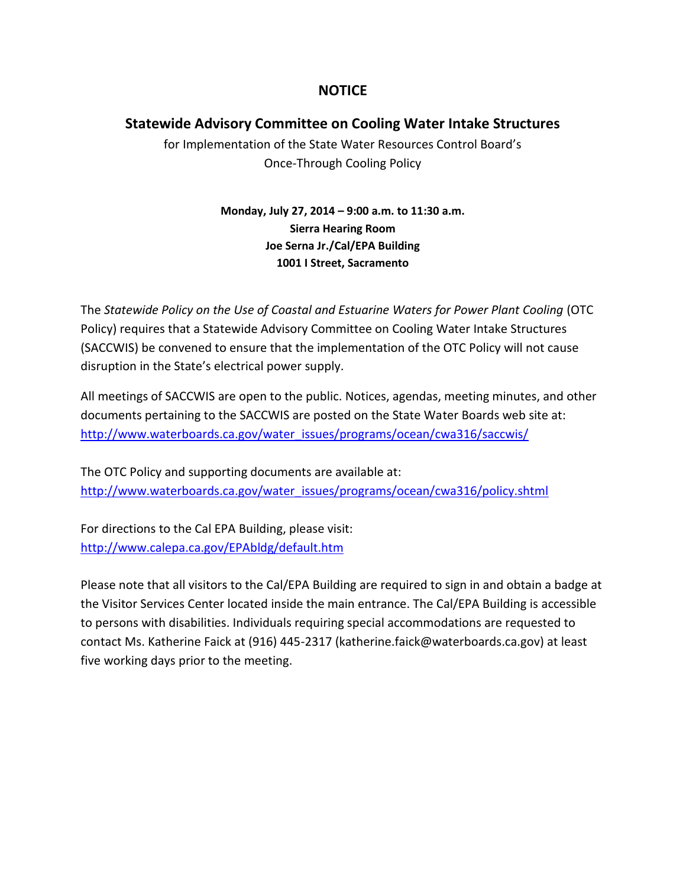### **NOTICE**

### **Statewide Advisory Committee on Cooling Water Intake Structures**

for Implementation of the State Water Resources Control Board's Once-Through Cooling Policy

> **Monday, July 27, 2014 – 9:00 a.m. to 11:30 a.m. Sierra Hearing Room Joe Serna Jr./Cal/EPA Building 1001 I Street, Sacramento**

The *Statewide Policy on the Use of Coastal and Estuarine Waters for Power Plant Cooling* (OTC Policy) requires that a Statewide Advisory Committee on Cooling Water Intake Structures (SACCWIS) be convened to ensure that the implementation of the OTC Policy will not cause disruption in the State's electrical power supply.

All meetings of SACCWIS are open to the public. Notices, agendas, meeting minutes, and other documents pertaining to the SACCWIS are posted on the State Water Boards web site at: [http://www.waterboards.ca.gov/water\\_issues/programs/ocean/cwa316/saccwis/](http://www.waterboards.ca.gov/water_issues/programs/ocean/cwa316/saccwis/)

The OTC Policy and supporting documents are available at: [http://www.waterboards.ca.gov/water\\_issues/programs/ocean/cwa316/policy.shtml](http://www.waterboards.ca.gov/water_issues/programs/ocean/cwa316/policy.shtml)

For directions to the Cal EPA Building, please visit: <http://www.calepa.ca.gov/EPAbldg/default.htm>

Please note that all visitors to the Cal/EPA Building are required to sign in and obtain a badge at the Visitor Services Center located inside the main entrance. The Cal/EPA Building is accessible to persons with disabilities. Individuals requiring special accommodations are requested to contact Ms. Katherine Faick at (916) 445-2317 (katherine.faick@waterboards.ca.gov) at least five working days prior to the meeting.